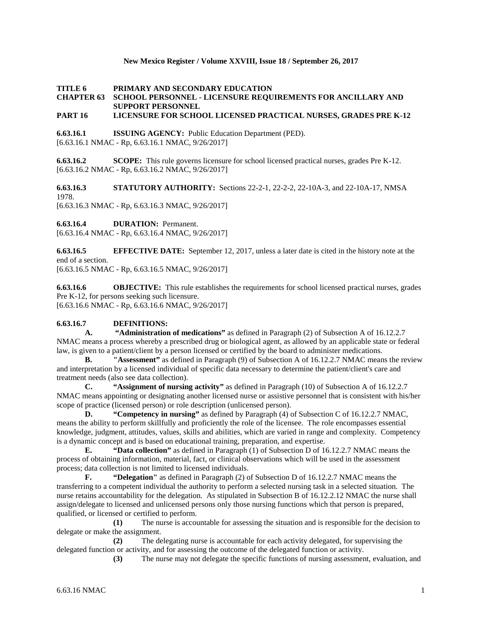# **New Mexico Register / Volume XXVIII, Issue 18 / September 26, 2017**

# **TITLE 6 PRIMARY AND SECONDARY EDUCATION CHAPTER 63 SCHOOL PERSONNEL - LICENSURE REQUIREMENTS FOR ANCILLARY AND SUPPORT PERSONNEL**

# **PART 16 LICENSURE FOR SCHOOL LICENSED PRACTICAL NURSES, GRADES PRE K-12**

**6.63.16.1 ISSUING AGENCY:** Public Education Department (PED). [6.63.16.1 NMAC - Rp, 6.63.16.1 NMAC, 9/26/2017]

**6.63.16.2 SCOPE:** This rule governs licensure for school licensed practical nurses, grades Pre K-12. [6.63.16.2 NMAC - Rp, 6.63.16.2 NMAC, 9/26/2017]

**6.63.16.3 STATUTORY AUTHORITY:** Sections 22-2-1, 22-2-2, 22-10A-3, and 22-10A-17, NMSA 1978. [6.63.16.3 NMAC - Rp, 6.63.16.3 NMAC, 9/26/2017]

**6.63.16.4 DURATION:** Permanent.

[6.63.16.4 NMAC - Rp, 6.63.16.4 NMAC, 9/26/2017]

**6.63.16.5 EFFECTIVE DATE:** September 12, 2017, unless a later date is cited in the history note at the end of a section.

[6.63.16.5 NMAC - Rp, 6.63.16.5 NMAC, 9/26/2017]

**6.63.16.6 OBJECTIVE:** This rule establishes the requirements for school licensed practical nurses, grades Pre K-12, for persons seeking such licensure. [6.63.16.6 NMAC - Rp, 6.63.16.6 NMAC, 9/26/2017]

#### **6.63.16.7 DEFINITIONS:**

**A. "Administration of medications"** as defined in Paragraph (2) of Subsection A of 16.12.2.7 NMAC means a process whereby a prescribed drug or biological agent, as allowed by an applicable state or federal law, is given to a patient/client by a person licensed or certified by the board to administer medications.

**B. "Assessment"** as defined in Paragraph (9) of Subsection A of 16.12.2.7 NMAC means the review and interpretation by a licensed individual of specific data necessary to determine the patient/client's care and treatment needs (also see data collection).

**C. "Assignment of nursing activity"** as defined in Paragraph (10) of Subsection A of 16.12.2.7 NMAC means appointing or designating another licensed nurse or assistive personnel that is consistent with his/her scope of practice (licensed person) or role description (unlicensed person).

**D. "Competency in nursing"** as defined by Paragraph (4) of Subsection C of 16.12.2.7 NMAC, means the ability to perform skillfully and proficiently the role of the licensee. The role encompasses essential knowledge, judgment, attitudes, values, skills and abilities, which are varied in range and complexity. Competency is a dynamic concept and is based on educational training, preparation, and expertise.

**E. "Data collection"** as defined in Paragraph (1) of Subsection D of 16.12.2.7 NMAC means the process of obtaining information, material, fact, or clinical observations which will be used in the assessment process; data collection is not limited to licensed individuals.

**F. "Delegation"** as defined in Paragraph (2) of Subsection D of 16.12.2.7 NMAC means the transferring to a competent individual the authority to perform a selected nursing task in a selected situation. The nurse retains accountability for the delegation. As stipulated in Subsection B of 16.12.2.12 NMAC the nurse shall assign/delegate to licensed and unlicensed persons only those nursing functions which that person is prepared, qualified, or licensed or certified to perform.

**(1)** The nurse is accountable for assessing the situation and is responsible for the decision to delegate or make the assignment.

**(2)** The delegating nurse is accountable for each activity delegated, for supervising the delegated function or activity, and for assessing the outcome of the delegated function or activity.

**(3)** The nurse may not delegate the specific functions of nursing assessment, evaluation, and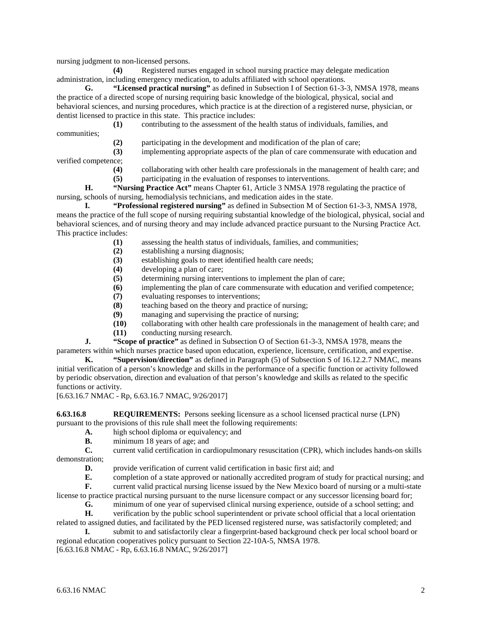nursing judgment to non-licensed persons.

**(4)** Registered nurses engaged in school nursing practice may delegate medication administration, including emergency medication, to adults affiliated with school operations.

**G. "Licensed practical nursing"** as defined in Subsection I of Section 61-3-3, NMSA 1978, means the practice of a directed scope of nursing requiring basic knowledge of the biological, physical, social and behavioral sciences, and nursing procedures, which practice is at the direction of a registered nurse, physician, or dentist licensed to practice in this state. This practice includes:

|              | contributing to the assessment of the health status of individuals, families, and |
|--------------|-----------------------------------------------------------------------------------|
| communities: |                                                                                   |

- **(2)** participating in the development and modification of the plan of care;
- **(3)** implementing appropriate aspects of the plan of care commensurate with education and

verified competence;

- **(4)** collaborating with other health care professionals in the management of health care; and
- **(5)** participating in the evaluation of responses to interventions.

**H. "Nursing Practice Act"** means Chapter 61, Article 3 NMSA 1978 regulating the practice of nursing, schools of nursing, hemodialysis technicians, and medication aides in the state.

**I. "Professional registered nursing"** as defined in Subsection M of Section 61-3-3, NMSA 1978, means the practice of the full scope of nursing requiring substantial knowledge of the biological, physical, social and behavioral sciences, and of nursing theory and may include advanced practice pursuant to the Nursing Practice Act. This practice includes:

- **(1)** assessing the health status of individuals, families, and communities;
- **(2)** establishing a nursing diagnosis;
- establishing goals to meet identified health care needs;
- **(4)** developing a plan of care;
- **(5)** determining nursing interventions to implement the plan of care;
- **(6)** implementing the plan of care commensurate with education and verified competence;
- **(7)** evaluating responses to interventions;
- **(8)** teaching based on the theory and practice of nursing;
- **(9)** managing and supervising the practice of nursing;
- **(10)** collaborating with other health care professionals in the management of health care; and
- **(11)** conducting nursing research.

**J. "Scope of practice"** as defined in Subsection O of Section 61-3-3, NMSA 1978, means the parameters within which nurses practice based upon education, experience, licensure, certification, and expertise.

**K. "Supervision/direction"** as defined in Paragraph (5) of Subsection S of 16.12.2.7 NMAC, means initial verification of a person's knowledge and skills in the performance of a specific function or activity followed by periodic observation, direction and evaluation of that person's knowledge and skills as related to the specific functions or activity.

[6.63.16.7 NMAC - Rp, 6.63.16.7 NMAC, 9/26/2017]

**6.63.16.8 REQUIREMENTS:** Persons seeking licensure as a school licensed practical nurse (LPN) pursuant to the provisions of this rule shall meet the following requirements:

- **A.** high school diploma or equivalency; and
- **B.** minimum 18 years of age; and **C.** current valid certification in ca

**C.** current valid certification in cardiopulmonary resuscitation (CPR), which includes hands-on skills demonstration;

**D.** provide verification of current valid certification in basic first aid; and

**E.** completion of a state approved or nationally accredited program of study for practical nursing; and **F.** current valid practical nursing license issued by the New Mexico board of nursing or a multi-state

license to practice practical nursing pursuant to the nurse licensure compact or any successor licensing board for; **G.** minimum of one year of supervised clinical nursing experience, outside of a school setting; and

**H.** verification by the public school superintendent or private school official that a local orientation related to assigned duties, and facilitated by the PED licensed registered nurse, was satisfactorily completed; and

**I.** submit to and satisfactorily clear a fingerprint-based background check per local school board or regional education cooperatives policy pursuant to Section 22-10A-5, NMSA 1978.

[6.63.16.8 NMAC - Rp, 6.63.16.8 NMAC, 9/26/2017]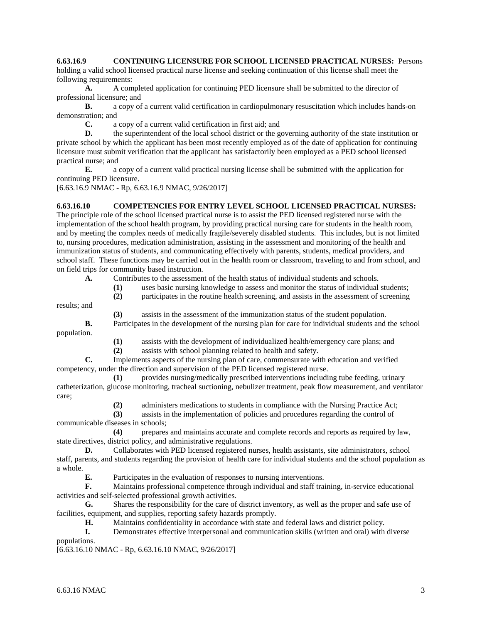**6.63.16.9 CONTINUING LICENSURE FOR SCHOOL LICENSED PRACTICAL NURSES:** Persons holding a valid school licensed practical nurse license and seeking continuation of this license shall meet the

following requirements:

**A.** A completed application for continuing PED licensure shall be submitted to the director of professional licensure; and

**B.** a copy of a current valid certification in cardiopulmonary resuscitation which includes hands-on demonstration; and

**C.** a copy of a current valid certification in first aid; and

**D.** the superintendent of the local school district or the governing authority of the state institution or private school by which the applicant has been most recently employed as of the date of application for continuing licensure must submit verification that the applicant has satisfactorily been employed as a PED school licensed practical nurse; and

**E.** a copy of a current valid practical nursing license shall be submitted with the application for continuing PED licensure.

[6.63.16.9 NMAC - Rp, 6.63.16.9 NMAC, 9/26/2017]

### **6.63.16.10 COMPETENCIES FOR ENTRY LEVEL SCHOOL LICENSED PRACTICAL NURSES:**

The principle role of the school licensed practical nurse is to assist the PED licensed registered nurse with the implementation of the school health program, by providing practical nursing care for students in the health room, and by meeting the complex needs of medically fragile/severely disabled students. This includes, but is not limited to, nursing procedures, medication administration, assisting in the assessment and monitoring of the health and immunization status of students, and communicating effectively with parents, students, medical providers, and school staff. These functions may be carried out in the health room or classroom, traveling to and from school, and on field trips for community based instruction.

**A.** Contributes to the assessment of the health status of individual students and schools.

- **(1)** uses basic nursing knowledge to assess and monitor the status of individual students;
- **(2)** participates in the routine health screening, and assists in the assessment of screening

results; and

**(3)** assists in the assessment of the immunization status of the student population.

**B.** Participates in the development of the nursing plan for care for individual students and the school population.

**(1)** assists with the development of individualized health/emergency care plans; and

**(2)** assists with school planning related to health and safety.

**C.** Implements aspects of the nursing plan of care, commensurate with education and verified competency, under the direction and supervision of the PED licensed registered nurse.

**(1)** provides nursing/medically prescribed interventions including tube feeding, urinary catheterization, glucose monitoring, tracheal suctioning, nebulizer treatment, peak flow measurement, and ventilator care;

**(2)** administers medications to students in compliance with the Nursing Practice Act;

**(3)** assists in the implementation of policies and procedures regarding the control of communicable diseases in schools;

**(4)** prepares and maintains accurate and complete records and reports as required by law, state directives, district policy, and administrative regulations.

**D.** Collaborates with PED licensed registered nurses, health assistants, site administrators, school staff, parents, and students regarding the provision of health care for individual students and the school population as a whole.

**E.** Participates in the evaluation of responses to nursing interventions.

**F.** Maintains professional competence through individual and staff training, in-service educational activities and self-selected professional growth activities.

**G.** Shares the responsibility for the care of district inventory, as well as the proper and safe use of facilities, equipment, and supplies, reporting safety hazards promptly.

**H.** Maintains confidentiality in accordance with state and federal laws and district policy.

**I.** Demonstrates effective interpersonal and communication skills (written and oral) with diverse populations.

[6.63.16.10 NMAC - Rp, 6.63.16.10 NMAC, 9/26/2017]